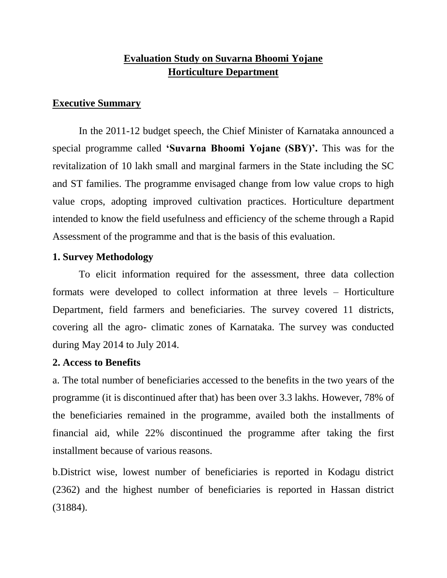# **Evaluation Study on Suvarna Bhoomi Yojane Horticulture Department**

### **Executive Summary**

In the 2011-12 budget speech, the Chief Minister of Karnataka announced a special programme called **'Suvarna Bhoomi Yojane (SBY)'.** This was for the revitalization of 10 lakh small and marginal farmers in the State including the SC and ST families. The programme envisaged change from low value crops to high value crops, adopting improved cultivation practices. Horticulture department intended to know the field usefulness and efficiency of the scheme through a Rapid Assessment of the programme and that is the basis of this evaluation.

### **1. Survey Methodology**

To elicit information required for the assessment, three data collection formats were developed to collect information at three levels – Horticulture Department, field farmers and beneficiaries. The survey covered 11 districts, covering all the agro- climatic zones of Karnataka. The survey was conducted during May 2014 to July 2014.

### **2. Access to Benefits**

a. The total number of beneficiaries accessed to the benefits in the two years of the programme (it is discontinued after that) has been over 3.3 lakhs. However, 78% of the beneficiaries remained in the programme, availed both the installments of financial aid, while 22% discontinued the programme after taking the first installment because of various reasons.

b.District wise, lowest number of beneficiaries is reported in Kodagu district (2362) and the highest number of beneficiaries is reported in Hassan district (31884).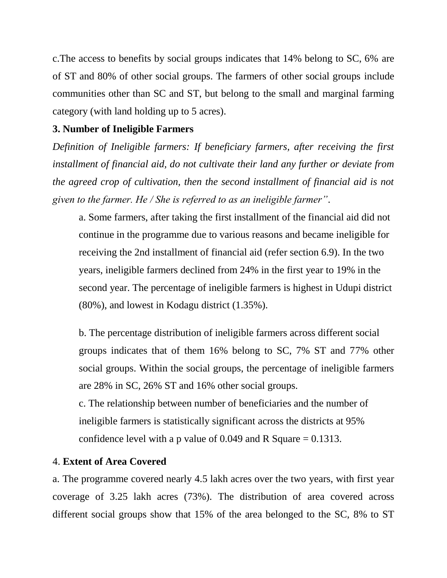c.The access to benefits by social groups indicates that 14% belong to SC, 6% are of ST and 80% of other social groups. The farmers of other social groups include communities other than SC and ST, but belong to the small and marginal farming category (with land holding up to 5 acres).

## **3. Number of Ineligible Farmers**

*Definition of Ineligible farmers: If beneficiary farmers, after receiving the first installment of financial aid, do not cultivate their land any further or deviate from the agreed crop of cultivation, then the second installment of financial aid is not given to the farmer. He / She is referred to as an ineligible farmer"*.

a. Some farmers, after taking the first installment of the financial aid did not continue in the programme due to various reasons and became ineligible for receiving the 2nd installment of financial aid (refer section 6.9). In the two years, ineligible farmers declined from 24% in the first year to 19% in the second year. The percentage of ineligible farmers is highest in Udupi district (80%), and lowest in Kodagu district (1.35%).

b. The percentage distribution of ineligible farmers across different social groups indicates that of them 16% belong to SC, 7% ST and 77% other social groups. Within the social groups, the percentage of ineligible farmers are 28% in SC, 26% ST and 16% other social groups.

c. The relationship between number of beneficiaries and the number of ineligible farmers is statistically significant across the districts at 95% confidence level with a p value of 0.049 and R Square  $= 0.1313$ .

## 4. **Extent of Area Covered**

a. The programme covered nearly 4.5 lakh acres over the two years, with first year coverage of 3.25 lakh acres (73%). The distribution of area covered across different social groups show that 15% of the area belonged to the SC, 8% to ST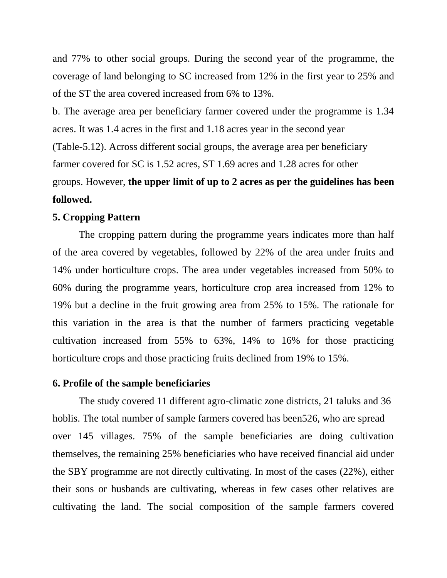and 77% to other social groups. During the second year of the programme, the coverage of land belonging to SC increased from 12% in the first year to 25% and of the ST the area covered increased from 6% to 13%.

b. The average area per beneficiary farmer covered under the programme is 1.34 acres. It was 1.4 acres in the first and 1.18 acres year in the second year (Table-5.12). Across different social groups, the average area per beneficiary farmer covered for SC is 1.52 acres, ST 1.69 acres and 1.28 acres for other groups. However, **the upper limit of up to 2 acres as per the guidelines has been followed.**

#### **5. Cropping Pattern**

The cropping pattern during the programme years indicates more than half of the area covered by vegetables, followed by 22% of the area under fruits and 14% under horticulture crops. The area under vegetables increased from 50% to 60% during the programme years, horticulture crop area increased from 12% to 19% but a decline in the fruit growing area from 25% to 15%. The rationale for this variation in the area is that the number of farmers practicing vegetable cultivation increased from 55% to 63%, 14% to 16% for those practicing horticulture crops and those practicing fruits declined from 19% to 15%.

#### **6. Profile of the sample beneficiaries**

The study covered 11 different agro-climatic zone districts, 21 taluks and 36 hoblis. The total number of sample farmers covered has been526, who are spread over 145 villages. 75% of the sample beneficiaries are doing cultivation themselves, the remaining 25% beneficiaries who have received financial aid under the SBY programme are not directly cultivating. In most of the cases (22%), either their sons or husbands are cultivating, whereas in few cases other relatives are cultivating the land. The social composition of the sample farmers covered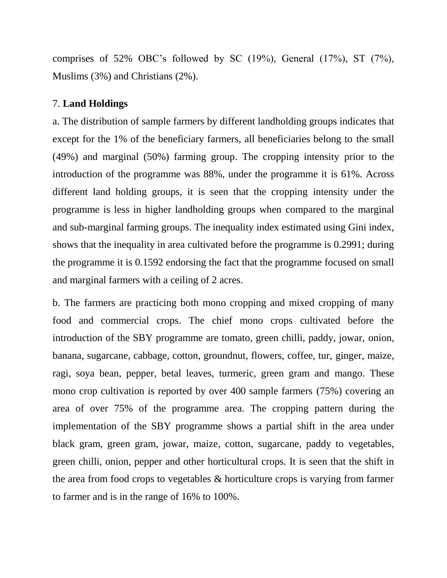comprises of 52% OBC's followed by SC (19%), General (17%), ST (7%), Muslims (3%) and Christians (2%).

## 7. **Land Holdings**

a. The distribution of sample farmers by different landholding groups indicates that except for the 1% of the beneficiary farmers, all beneficiaries belong to the small (49%) and marginal (50%) farming group. The cropping intensity prior to the introduction of the programme was 88%, under the programme it is 61%. Across different land holding groups, it is seen that the cropping intensity under the programme is less in higher landholding groups when compared to the marginal and sub-marginal farming groups. The inequality index estimated using Gini index, shows that the inequality in area cultivated before the programme is 0.2991; during the programme it is 0.1592 endorsing the fact that the programme focused on small and marginal farmers with a ceiling of 2 acres.

b. The farmers are practicing both mono cropping and mixed cropping of many food and commercial crops. The chief mono crops cultivated before the introduction of the SBY programme are tomato, green chilli, paddy, jowar, onion, banana, sugarcane, cabbage, cotton, groundnut, flowers, coffee, tur, ginger, maize, ragi, soya bean, pepper, betal leaves, turmeric, green gram and mango. These mono crop cultivation is reported by over 400 sample farmers (75%) covering an area of over 75% of the programme area. The cropping pattern during the implementation of the SBY programme shows a partial shift in the area under black gram, green gram, jowar, maize, cotton, sugarcane, paddy to vegetables, green chilli, onion, pepper and other horticultural crops. It is seen that the shift in the area from food crops to vegetables & horticulture crops is varying from farmer to farmer and is in the range of 16% to 100%.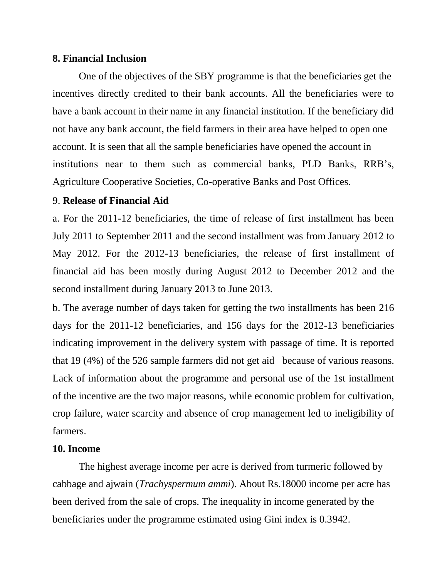### **8. Financial Inclusion**

One of the objectives of the SBY programme is that the beneficiaries get the incentives directly credited to their bank accounts. All the beneficiaries were to have a bank account in their name in any financial institution. If the beneficiary did not have any bank account, the field farmers in their area have helped to open one account. It is seen that all the sample beneficiaries have opened the account in institutions near to them such as commercial banks, PLD Banks, RRB's, Agriculture Cooperative Societies, Co-operative Banks and Post Offices.

### 9. **Release of Financial Aid**

a. For the 2011-12 beneficiaries, the time of release of first installment has been July 2011 to September 2011 and the second installment was from January 2012 to May 2012. For the 2012-13 beneficiaries, the release of first installment of financial aid has been mostly during August 2012 to December 2012 and the second installment during January 2013 to June 2013.

b. The average number of days taken for getting the two installments has been 216 days for the 2011-12 beneficiaries, and 156 days for the 2012-13 beneficiaries indicating improvement in the delivery system with passage of time. It is reported that 19 (4%) of the 526 sample farmers did not get aid because of various reasons. Lack of information about the programme and personal use of the 1st installment of the incentive are the two major reasons, while economic problem for cultivation, crop failure, water scarcity and absence of crop management led to ineligibility of farmers.

### **10. Income**

The highest average income per acre is derived from turmeric followed by cabbage and ajwain (*Trachyspermum ammi*). About Rs.18000 income per acre has been derived from the sale of crops. The inequality in income generated by the beneficiaries under the programme estimated using Gini index is 0.3942.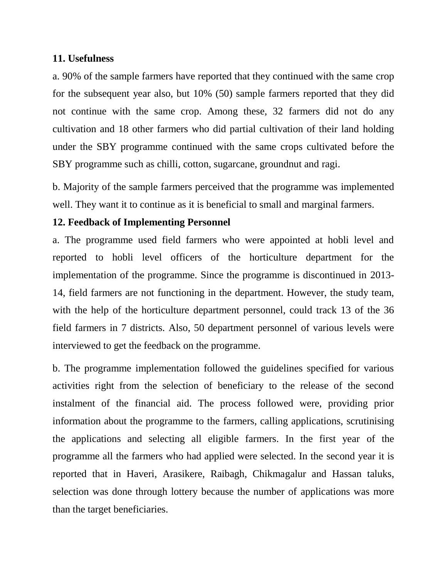### **11. Usefulness**

a. 90% of the sample farmers have reported that they continued with the same crop for the subsequent year also, but 10% (50) sample farmers reported that they did not continue with the same crop. Among these, 32 farmers did not do any cultivation and 18 other farmers who did partial cultivation of their land holding under the SBY programme continued with the same crops cultivated before the SBY programme such as chilli, cotton, sugarcane, groundnut and ragi.

b. Majority of the sample farmers perceived that the programme was implemented well. They want it to continue as it is beneficial to small and marginal farmers.

## **12. Feedback of Implementing Personnel**

a. The programme used field farmers who were appointed at hobli level and reported to hobli level officers of the horticulture department for the implementation of the programme. Since the programme is discontinued in 2013- 14, field farmers are not functioning in the department. However, the study team, with the help of the horticulture department personnel, could track 13 of the 36 field farmers in 7 districts. Also, 50 department personnel of various levels were interviewed to get the feedback on the programme.

b. The programme implementation followed the guidelines specified for various activities right from the selection of beneficiary to the release of the second instalment of the financial aid. The process followed were, providing prior information about the programme to the farmers, calling applications, scrutinising the applications and selecting all eligible farmers. In the first year of the programme all the farmers who had applied were selected. In the second year it is reported that in Haveri, Arasikere, Raibagh, Chikmagalur and Hassan taluks, selection was done through lottery because the number of applications was more than the target beneficiaries.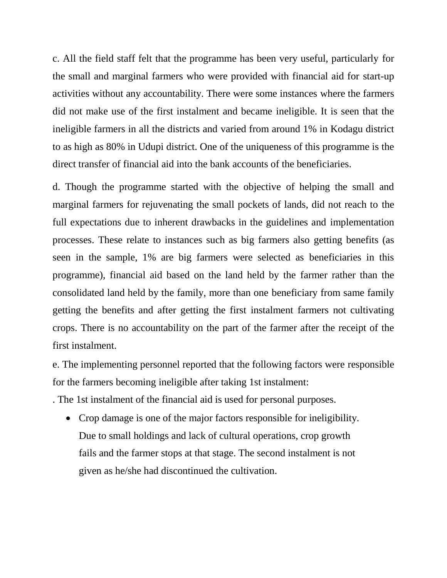c. All the field staff felt that the programme has been very useful, particularly for the small and marginal farmers who were provided with financial aid for start-up activities without any accountability. There were some instances where the farmers did not make use of the first instalment and became ineligible. It is seen that the ineligible farmers in all the districts and varied from around 1% in Kodagu district to as high as 80% in Udupi district. One of the uniqueness of this programme is the direct transfer of financial aid into the bank accounts of the beneficiaries.

d. Though the programme started with the objective of helping the small and marginal farmers for rejuvenating the small pockets of lands, did not reach to the full expectations due to inherent drawbacks in the guidelines and implementation processes. These relate to instances such as big farmers also getting benefits (as seen in the sample, 1% are big farmers were selected as beneficiaries in this programme), financial aid based on the land held by the farmer rather than the consolidated land held by the family, more than one beneficiary from same family getting the benefits and after getting the first instalment farmers not cultivating crops. There is no accountability on the part of the farmer after the receipt of the first instalment.

e. The implementing personnel reported that the following factors were responsible for the farmers becoming ineligible after taking 1st instalment:

. The 1st instalment of the financial aid is used for personal purposes.

• Crop damage is one of the major factors responsible for ineligibility. Due to small holdings and lack of cultural operations, crop growth fails and the farmer stops at that stage. The second instalment is not given as he/she had discontinued the cultivation.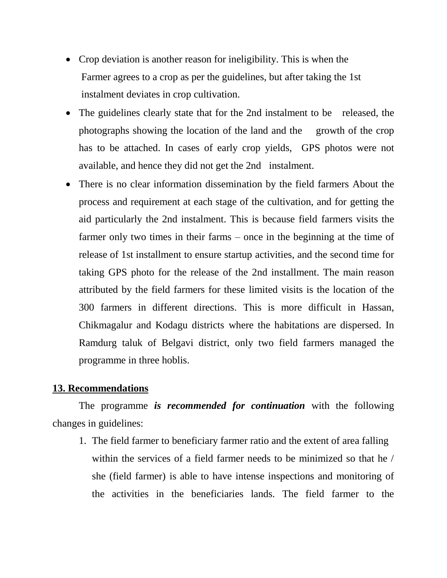- Crop deviation is another reason for ineligibility. This is when the Farmer agrees to a crop as per the guidelines, but after taking the 1st instalment deviates in crop cultivation.
- The guidelines clearly state that for the 2nd instalment to be released, the photographs showing the location of the land and the growth of the crop has to be attached. In cases of early crop yields, GPS photos were not available, and hence they did not get the 2nd instalment.
- There is no clear information dissemination by the field farmers About the process and requirement at each stage of the cultivation, and for getting the aid particularly the 2nd instalment. This is because field farmers visits the farmer only two times in their farms – once in the beginning at the time of release of 1st installment to ensure startup activities, and the second time for taking GPS photo for the release of the 2nd installment. The main reason attributed by the field farmers for these limited visits is the location of the 300 farmers in different directions. This is more difficult in Hassan, Chikmagalur and Kodagu districts where the habitations are dispersed. In Ramdurg taluk of Belgavi district, only two field farmers managed the programme in three hoblis.

### **13. Recommendations**

The programme *is recommended for continuation* with the following changes in guidelines:

1. The field farmer to beneficiary farmer ratio and the extent of area falling within the services of a field farmer needs to be minimized so that he / she (field farmer) is able to have intense inspections and monitoring of the activities in the beneficiaries lands. The field farmer to the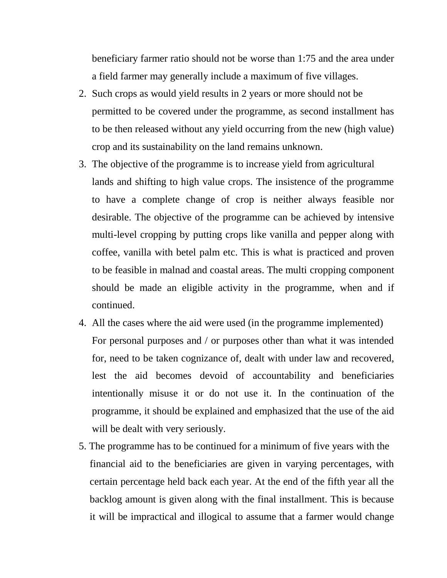beneficiary farmer ratio should not be worse than 1:75 and the area under a field farmer may generally include a maximum of five villages.

- 2. Such crops as would yield results in 2 years or more should not be permitted to be covered under the programme, as second installment has to be then released without any yield occurring from the new (high value) crop and its sustainability on the land remains unknown.
- 3. The objective of the programme is to increase yield from agricultural lands and shifting to high value crops. The insistence of the programme to have a complete change of crop is neither always feasible nor desirable. The objective of the programme can be achieved by intensive multi-level cropping by putting crops like vanilla and pepper along with coffee, vanilla with betel palm etc. This is what is practiced and proven to be feasible in malnad and coastal areas. The multi cropping component should be made an eligible activity in the programme, when and if continued.
- 4. All the cases where the aid were used (in the programme implemented) For personal purposes and / or purposes other than what it was intended for, need to be taken cognizance of, dealt with under law and recovered, lest the aid becomes devoid of accountability and beneficiaries intentionally misuse it or do not use it. In the continuation of the programme, it should be explained and emphasized that the use of the aid will be dealt with very seriously.
- 5. The programme has to be continued for a minimum of five years with the financial aid to the beneficiaries are given in varying percentages, with certain percentage held back each year. At the end of the fifth year all the backlog amount is given along with the final installment. This is because it will be impractical and illogical to assume that a farmer would change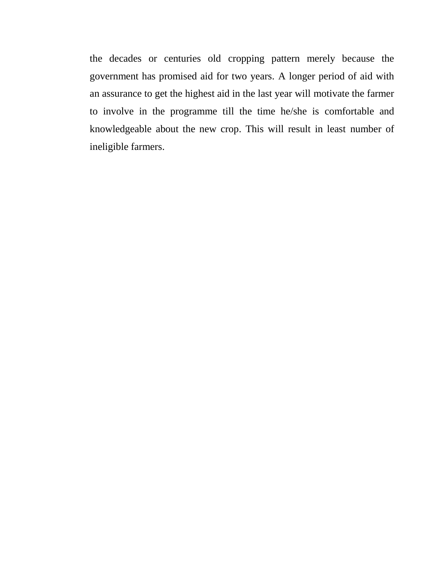the decades or centuries old cropping pattern merely because the government has promised aid for two years. A longer period of aid with an assurance to get the highest aid in the last year will motivate the farmer to involve in the programme till the time he/she is comfortable and knowledgeable about the new crop. This will result in least number of ineligible farmers.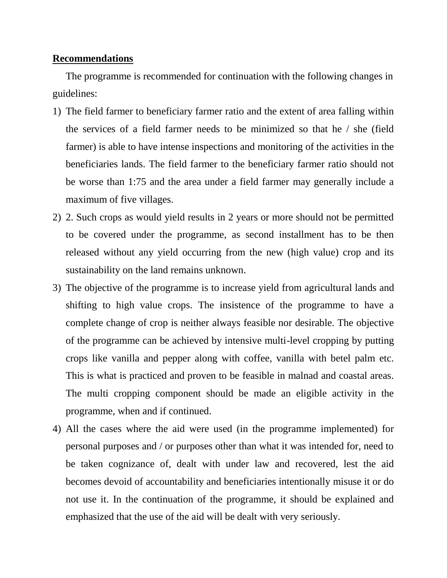### **Recommendations**

The programme is recommended for continuation with the following changes in guidelines:

- 1) The field farmer to beneficiary farmer ratio and the extent of area falling within the services of a field farmer needs to be minimized so that he / she (field farmer) is able to have intense inspections and monitoring of the activities in the beneficiaries lands. The field farmer to the beneficiary farmer ratio should not be worse than 1:75 and the area under a field farmer may generally include a maximum of five villages.
- 2) 2. Such crops as would yield results in 2 years or more should not be permitted to be covered under the programme, as second installment has to be then released without any yield occurring from the new (high value) crop and its sustainability on the land remains unknown.
- 3) The objective of the programme is to increase yield from agricultural lands and shifting to high value crops. The insistence of the programme to have a complete change of crop is neither always feasible nor desirable. The objective of the programme can be achieved by intensive multi-level cropping by putting crops like vanilla and pepper along with coffee, vanilla with betel palm etc. This is what is practiced and proven to be feasible in malnad and coastal areas. The multi cropping component should be made an eligible activity in the programme, when and if continued.
- 4) All the cases where the aid were used (in the programme implemented) for personal purposes and / or purposes other than what it was intended for, need to be taken cognizance of, dealt with under law and recovered, lest the aid becomes devoid of accountability and beneficiaries intentionally misuse it or do not use it. In the continuation of the programme, it should be explained and emphasized that the use of the aid will be dealt with very seriously.